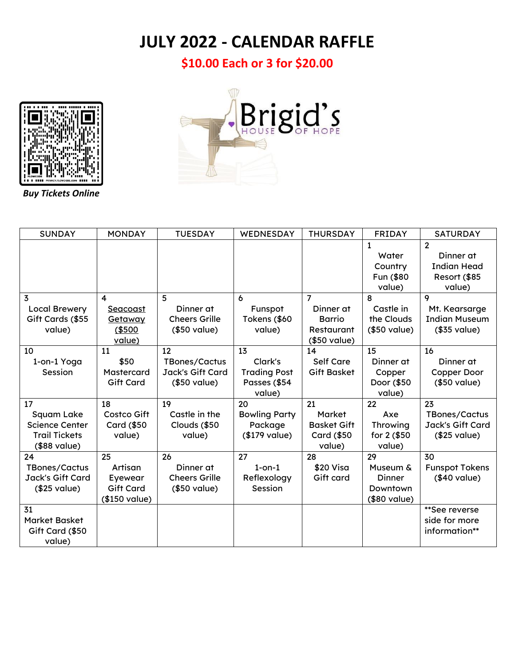## **JULY 2022 - CALENDAR RAFFLE**

**\$10.00 Each or 3 for \$20.00**



*Buy Tickets Online*



| <b>SUNDAY</b>         | <b>MONDAY</b>      | <b>TUESDAY</b>       | WEDNESDAY            | <b>THURSDAY</b>    | <b>FRIDAY</b> | <b>SATURDAY</b>       |
|-----------------------|--------------------|----------------------|----------------------|--------------------|---------------|-----------------------|
|                       |                    |                      |                      |                    | $\mathbf{1}$  | $\overline{2}$        |
|                       |                    |                      |                      |                    | Water         | Dinner at             |
|                       |                    |                      |                      |                    | Country       | <b>Indian Head</b>    |
|                       |                    |                      |                      |                    | Fun (\$80     | Resort (\$85          |
|                       |                    |                      |                      |                    | value)        | value)                |
| 3                     | 4                  | 5                    | 6                    | $\overline{7}$     | 8             | 9                     |
| <b>Local Brewery</b>  | Seacoast           | Dinner at            | Funspot              | Dinner at          | Castle in     | Mt. Kearsarge         |
| Gift Cards (\$55      | Getaway            | <b>Cheers Grille</b> | Tokens (\$60         | <b>Barrio</b>      | the Clouds    | <b>Indian Museum</b>  |
| value)                | (\$500             | (\$50 value)         | value)               | <b>Restaurant</b>  | (\$50 value)  | (\$35 value)          |
|                       | value)             |                      |                      | (\$50 value)       |               |                       |
| 10                    | 11                 | 12                   | 13                   | 14                 | 15            | 16                    |
| 1-on-1 Yoga           | \$50               | <b>TBones/Cactus</b> | Clark's              | <b>Self Care</b>   | Dinner at     | Dinner at             |
| Session               | Mastercard         | Jack's Gift Card     | <b>Trading Post</b>  | <b>Gift Basket</b> | Copper        | Copper Door           |
|                       | <b>Gift Card</b>   | (\$50 value)         | Passes (\$54         |                    | Door (\$50    | (\$50 value)          |
|                       |                    |                      | value)               |                    | value)        |                       |
| 17                    | 18                 | 19                   | 20                   | 21                 | 22            | 23                    |
| Squam Lake            | Costco Gift        | Castle in the        | <b>Bowling Party</b> | Market             | Axe           | <b>TBones/Cactus</b>  |
| <b>Science Center</b> | <b>Card (\$50)</b> | Clouds (\$50         | Package              | <b>Basket Gift</b> | Throwing      | Jack's Gift Card      |
| <b>Trail Tickets</b>  | value)             | value)               | (\$179 value)        | <b>Card (\$50)</b> | for 2 (\$50   | (\$25 value)          |
| (\$88 value)          |                    |                      |                      | value)             | value)        |                       |
| 24                    | 25                 | 26                   | 27                   | 28                 | 29            | 30                    |
| <b>TBones/Cactus</b>  | Artisan            | Dinner at            | $1$ -on- $1$         | \$20 Visa          | Museum &      | <b>Funspot Tokens</b> |
| Jack's Gift Card      | Eyewear            | <b>Cheers Grille</b> | Reflexology          | Gift card          | Dinner        | (\$40 value)          |
| (\$25 value)          | <b>Gift Card</b>   | (\$50 value)         | Session              |                    | Downtown      |                       |
|                       | (\$150 value)      |                      |                      |                    | (\$80 value)  |                       |
| 31                    |                    |                      |                      |                    |               | **See reverse         |
| <b>Market Basket</b>  |                    |                      |                      |                    |               | side for more         |
| Gift Card (\$50       |                    |                      |                      |                    |               | information**         |
| value)                |                    |                      |                      |                    |               |                       |